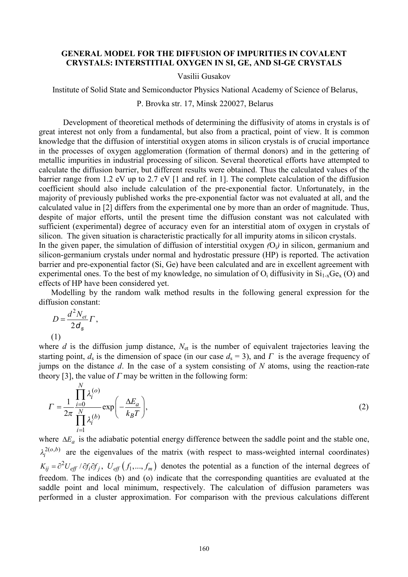## **GENERAL MODEL FOR THE DIFFUSION OF IMPURITIES IN COVALENT CRYSTALS: INTERSTITIAL OXYGEN IN SI, GE, AND SI-GE CRYSTALS**

## Vasilii Gusakov

Institute of Solid State and Semiconductor Physics National Academy of Science of Belarus,

## P. Brovka str. 17, Minsk 220027, Belarus

Development of theoretical methods of determining the diffusivity of atoms in crystals is of great interest not only from a fundamental, but also from a practical, point of view. It is common knowledge that the diffusion of interstitial oxygen atoms in silicon crystals is of crucial importance in the processes of oxygen agglomeration (formation of thermal donors) and in the gettering of metallic impurities in industrial processing of silicon. Several theoretical efforts have attempted to calculate the diffusion barrier, but different results were obtained. Thus the calculated values of the barrier range from 1.2 eV up to 2.7 eV [1 and ref. in 1]. The complete calculation of the diffusion coefficient should also include calculation of the pre-exponential factor. Unfortunately, in the majority of previously published works the pre-exponential factor was not evaluated at all, and the calculated value in [2] differs from the experimental one by more than an order of magnitude. Thus, despite of major efforts, until the present time the diffusion constant was not calculated with sufficient (experimental) degree of accuracy even for an interstitial atom of oxygen in crystals of silicon. The given situation is characteristic practically for all impurity atoms in silicon crystals.

In the given paper, the simulation of diffusion of interstitial oxygen *(*Oi*)* in silicon, germanium and silicon-germanium crystals under normal and hydrostatic pressure (HP) is reported. The activation barrier and pre-exponential factor (Si, Ge) have been calculated and are in excellent agreement with experimental ones. To the best of my knowledge, no simulation of  $O_i$  diffusivity in  $Si_{1-x}Ge_x(O)$  and effects of HP have been considered yet.

Modelling by the random walk method results in the following general expression for the diffusion constant:

$$
D = \frac{d^2 N_{et}}{2d_s} \Gamma,
$$
  
(1)

where *d* is the diffusion jump distance,  $N_{\text{et}}$  is the number of equivalent trajectories leaving the starting point,  $d_s$  is the dimension of space (in our case  $d_s = 3$ ), and  $\Gamma$  is the average frequency of jumps on the distance *d*. In the case of a system consisting of *N* atoms, using the reaction-rate theory [3], the value of  $\Gamma$  may be written in the following form:

$$
\Gamma = \frac{1}{2\pi} \frac{\prod_{i=0}^{N} \lambda_i^{(o)}}{\prod_{i=1}^{N} \lambda_i^{(b)}} \exp\left(-\frac{\Delta E_a}{k_B T}\right),\tag{2}
$$

where  $\Delta E_a$  is the adiabatic potential energy difference between the saddle point and the stable one,  $2(o,b)$  $\lambda_i^{2(o,b)}$  are the eigenvalues of the matrix (with respect to mass-weighted internal coordinates)  $K_{ij} = \partial^2 U_{eff} / \partial f_i \partial f_j$ ,  $U_{eff} (f_1,...,f_m)$  denotes the potential as a function of the internal degrees of freedom. The indices (b) and (o) indicate that the corresponding quantities are evaluated at the saddle point and local minimum, respectively. The calculation of diffusion parameters was performed in a cluster approximation. For comparison with the previous calculations different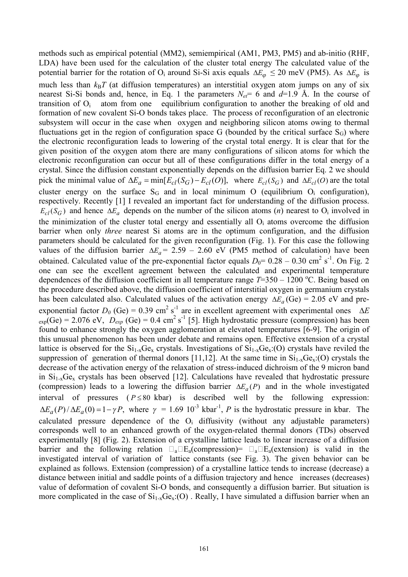methods such as empirical potential (MM2), semiempirical (AM1, PM3, PM5) and ab-initio (RHF, LDA) have been used for the calculation of the cluster total energy The calculated value of the potential barrier for the rotation of O<sub>i</sub> around Si-Si axis equals  $\Delta E_{\varphi} \le 20$  meV (PM5). As  $\Delta E_{\varphi}$  is much less than  $k_B T$  (at diffusion temperatures) an interstitial oxygen atom jumps on any of six nearest Si-Si bonds and, hence, in Eq. 1 the parameters  $N_{e\bar{t}}= 6$  and  $d=1.9$  Å. In the course of transition of  $O_i$  atom from one equilibrium configuration to another the breaking of old and formation of new covalent Si-O bonds takes place. The process of reconfiguration of an electronic subsystem will occur in the case when oxygen and neighboring silicon atoms owing to thermal fluctuations get in the region of configuration space G (bounded by the critical surface  $S_G$ ) where the electronic reconfiguration leads to lowering of the crystal total energy. It is clear that for the given position of the oxygen atom there are many configurations of silicon atoms for which the electronic reconfiguration can occur but all of these configurations differ in the total energy of a crystal. Since the diffusion constant exponentially depends on the diffusion barrier Eq. 2 we should pick the minimal value of  $\Delta E_a = \min[E_{cl}(S_G) - E_{cl}(O)],$  where  $E_{cl}(S_G)$  and  $\Delta E_{cl}(O)$  are the total cluster energy on the surface  $S_G$  and in local minimum O (equilibrium  $O_i$  configuration), respectively. Recently [1] I revealed an important fact for understanding of the diffusion process.  $E_{cl}(S_G)$  and hence  $\Delta E_a$  depends on the number of the silicon atoms (*n*) nearest to O<sub>i</sub> involved in the minimization of the cluster total energy and essentially all  $O<sub>i</sub>$  atoms overcome the diffusion barrier when only *three* nearest Si atoms are in the optimum configuration, and the diffusion parameters should be calculated for the given reconfiguration (Fig. 1). For this case the following values of the diffusion barrier  $\Delta E_a = 2.59 - 2.60$  eV (PM5 method of calculation) have been obtained. Calculated value of the pre-exponential factor equals  $D_0 = 0.28 - 0.30$  cm<sup>2</sup> s<sup>-1</sup>. On Fig. 2 one can see the excellent agreement between the calculated and experimental temperature dependences of the diffusion coefficient in all temperature range  $T=350 - 1200$  °C. Being based on the procedure described above, the diffusion coefficient of interstitial oxygen in germanium crystals has been calculated also. Calculated values of the activation energy  $\Delta E_a$  (Ge) = 2.05 eV and preexponential factor  $D_0$  (Ge) = 0.39 cm<sup>2</sup> s<sup>-1</sup> are in excellent agreement with experimental ones  $\Delta E$  $\epsilon_{exp}(Ge) = 2.076 \text{ eV}$ ,  $D_{exp}(Ge) = 0.4 \text{ cm}^2 \text{ s}^{-1}$  [5]. High hydrostatic pressure (compression) has been found to enhance strongly the oxygen agglomeration at elevated temperatures [6-9]. The origin of this unusual phenomenon has been under debate and remains open. Effective extension of a crystal lattice is observed for the  $Si_{1-x}Ge_x$  crystals. Investigations of  $Si_{1-x}Ge_x$ :(O) crystals have reviled the suppression of generation of thermal donors [11,12]. At the same time in  $Si_{1-x}Ge_{x}:(O)$  crystals the decrease of the activation energy of the relaxation of stress-induced dichroism of the 9 micron band in  $Si<sub>1-x</sub>Ge<sub>x</sub>$  crystals has been observed [12]. Calculations have revealed that hydrostatic pressure (compression) leads to a lowering the diffusion barrier  $\Delta E_a(P)$  and in the whole investigated interval of pressures  $(P \le 80 \text{ kbar})$  is described well by the following expression:  $\Delta E_a(P)/\Delta E_a(0) = 1 - \gamma P$ , where  $\gamma = 1.69 \times 10^{-3}$  kbar<sup>-1</sup>, *P* is the hydrostatic pressure in kbar. The calculated pressure dependence of the  $O_i$  diffusivity (without any adjustable parameters) corresponds well to an enhanced growth of the oxygen-related thermal donors (TDs) observed experimentally [8] (Fig. 2). Extension of a crystalline lattice leads to linear increase of a diffusion barrier and the following relation  $\square_a \square E_a$ (compression)=  $\square_a \square E_a$ (extension) is valid in the investigated interval of variation of lattice constants (see Fig. 3). The given behavior can be explained as follows. Extension (compression) of a crystalline lattice tends to increase (decrease) a distance between initial and saddle points of a diffusion trajectory and hence increases (decreases) value of deformation of covalent Si-O bonds, and consequently a diffusion barrier. But situation is more complicated in the case of  $Si_{1-x}Ge_x(0)$ . Really, I have simulated a diffusion barrier when an